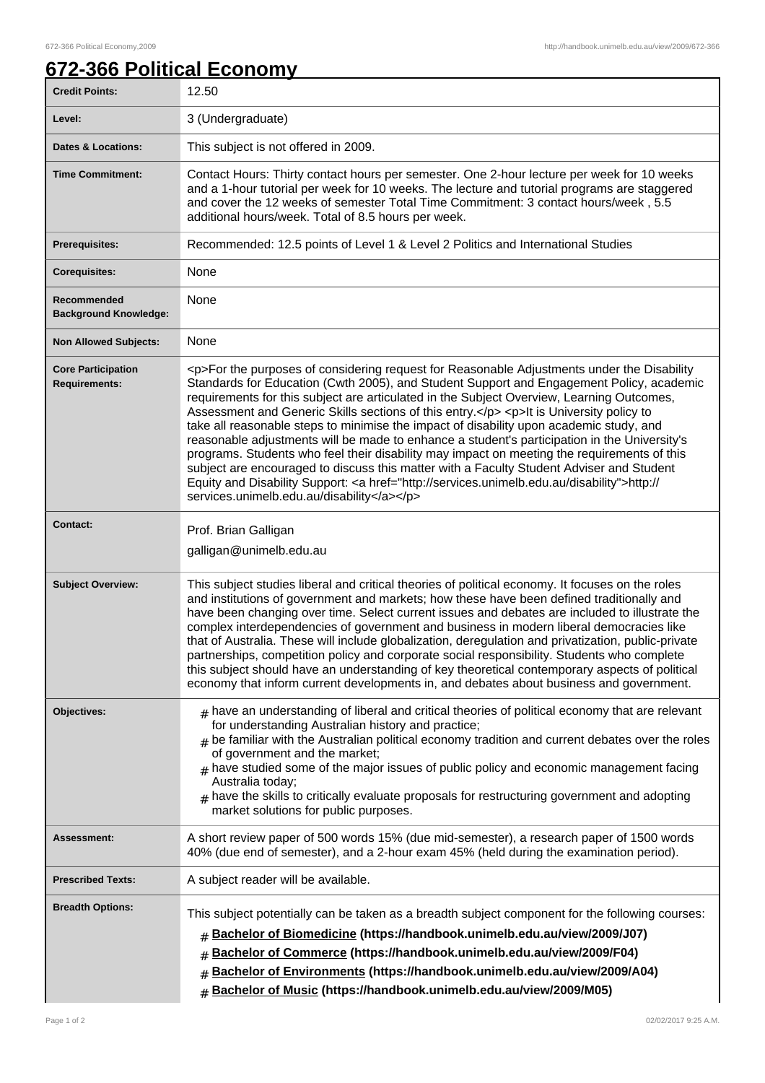1

## **672-366 Political Economy**

| <b>Credit Points:</b>                             | 12.50                                                                                                                                                                                                                                                                                                                                                                                                                                                                                                                                                                                                                                                                                                                                                                                                                                                                                                                     |
|---------------------------------------------------|---------------------------------------------------------------------------------------------------------------------------------------------------------------------------------------------------------------------------------------------------------------------------------------------------------------------------------------------------------------------------------------------------------------------------------------------------------------------------------------------------------------------------------------------------------------------------------------------------------------------------------------------------------------------------------------------------------------------------------------------------------------------------------------------------------------------------------------------------------------------------------------------------------------------------|
| Level:                                            | 3 (Undergraduate)                                                                                                                                                                                                                                                                                                                                                                                                                                                                                                                                                                                                                                                                                                                                                                                                                                                                                                         |
| <b>Dates &amp; Locations:</b>                     | This subject is not offered in 2009.                                                                                                                                                                                                                                                                                                                                                                                                                                                                                                                                                                                                                                                                                                                                                                                                                                                                                      |
| <b>Time Commitment:</b>                           | Contact Hours: Thirty contact hours per semester. One 2-hour lecture per week for 10 weeks<br>and a 1-hour tutorial per week for 10 weeks. The lecture and tutorial programs are staggered<br>and cover the 12 weeks of semester Total Time Commitment: 3 contact hours/week, 5.5<br>additional hours/week. Total of 8.5 hours per week.                                                                                                                                                                                                                                                                                                                                                                                                                                                                                                                                                                                  |
| <b>Prerequisites:</b>                             | Recommended: 12.5 points of Level 1 & Level 2 Politics and International Studies                                                                                                                                                                                                                                                                                                                                                                                                                                                                                                                                                                                                                                                                                                                                                                                                                                          |
| <b>Corequisites:</b>                              | None                                                                                                                                                                                                                                                                                                                                                                                                                                                                                                                                                                                                                                                                                                                                                                                                                                                                                                                      |
| Recommended<br><b>Background Knowledge:</b>       | None                                                                                                                                                                                                                                                                                                                                                                                                                                                                                                                                                                                                                                                                                                                                                                                                                                                                                                                      |
| <b>Non Allowed Subjects:</b>                      | None                                                                                                                                                                                                                                                                                                                                                                                                                                                                                                                                                                                                                                                                                                                                                                                                                                                                                                                      |
| <b>Core Participation</b><br><b>Requirements:</b> | <p>For the purposes of considering request for Reasonable Adjustments under the Disability<br/>Standards for Education (Cwth 2005), and Student Support and Engagement Policy, academic<br/>requirements for this subject are articulated in the Subject Overview, Learning Outcomes,<br/>Assessment and Generic Skills sections of this entry.</p> <p>lt is University policy to<br/>take all reasonable steps to minimise the impact of disability upon academic study, and<br/>reasonable adjustments will be made to enhance a student's participation in the University's<br/>programs. Students who feel their disability may impact on meeting the requirements of this<br/>subject are encouraged to discuss this matter with a Faculty Student Adviser and Student<br/>Equity and Disability Support: <a href="http://services.unimelb.edu.au/disability">http://<br/>services.unimelb.edu.au/disability</a></p> |
| <b>Contact:</b>                                   | Prof. Brian Galligan<br>galligan@unimelb.edu.au                                                                                                                                                                                                                                                                                                                                                                                                                                                                                                                                                                                                                                                                                                                                                                                                                                                                           |
| <b>Subject Overview:</b>                          | This subject studies liberal and critical theories of political economy. It focuses on the roles<br>and institutions of government and markets; how these have been defined traditionally and<br>have been changing over time. Select current issues and debates are included to illustrate the<br>complex interdependencies of government and business in modern liberal democracies like<br>that of Australia. These will include globalization, deregulation and privatization, public-private<br>partnerships, competition policy and corporate social responsibility. Students who complete<br>this subject should have an understanding of key theoretical contemporary aspects of political<br>economy that inform current developments in, and debates about business and government.                                                                                                                             |
| <b>Objectives:</b>                                | $#$ have an understanding of liberal and critical theories of political economy that are relevant<br>for understanding Australian history and practice;<br>$_{\#}$ be familiar with the Australian political economy tradition and current debates over the roles<br>of government and the market;<br>$_{\#}$ have studied some of the major issues of public policy and economic management facing<br>Australia today;<br>$#$ have the skills to critically evaluate proposals for restructuring government and adopting<br>market solutions for public purposes.                                                                                                                                                                                                                                                                                                                                                        |
| <b>Assessment:</b>                                | A short review paper of 500 words 15% (due mid-semester), a research paper of 1500 words<br>40% (due end of semester), and a 2-hour exam 45% (held during the examination period).                                                                                                                                                                                                                                                                                                                                                                                                                                                                                                                                                                                                                                                                                                                                        |
| <b>Prescribed Texts:</b>                          | A subject reader will be available.                                                                                                                                                                                                                                                                                                                                                                                                                                                                                                                                                                                                                                                                                                                                                                                                                                                                                       |
| <b>Breadth Options:</b>                           | This subject potentially can be taken as a breadth subject component for the following courses:<br>Bachelor of Biomedicine (https://handbook.unimelb.edu.au/view/2009/J07)<br>#<br>Bachelor of Commerce (https://handbook.unimelb.edu.au/view/2009/F04)<br>#<br>Bachelor of Environments (https://handbook.unimelb.edu.au/view/2009/A04)<br>#<br>Bachelor of Music (https://handbook.unimelb.edu.au/view/2009/M05)<br>#                                                                                                                                                                                                                                                                                                                                                                                                                                                                                                   |